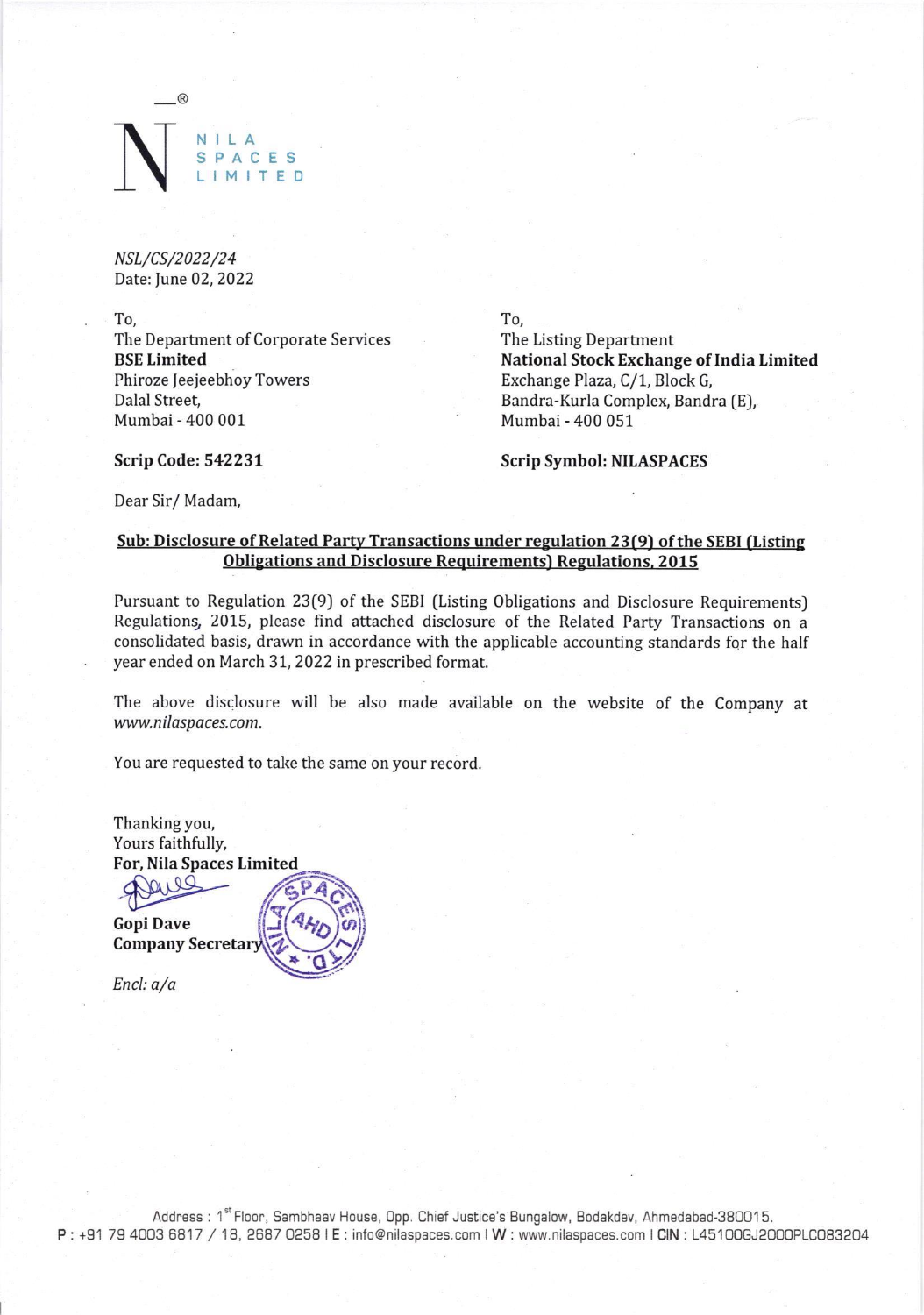## NILA CES **LMITED**

NSL/CS/2022/24 Date: June 02, 2022

To, To, The Department of Corporate Services The Listing Department Phiroze Jeejeebhoy Towers Exchange Plaza, C/1, Block G, Dalal Street, Bandra-Kurla Complex, Bandra (E), Mumbai - 400 001 Mumbai - 400 051

BSE Limited **Exchange of India Limited National Stock Exchange of India Limited** 

Scrip Code: 542231 Scrip Symbol: NILASPACES

Dear Sir/ Madam,

## Sub: Disclosure of Related Party Transactions under regulation 23(9) of the SEBI (Listing Obligations and Disclosure Requirements) Regulations, 2015

Pursuant to Regulation 23(9) of the SEBI (Listing Obligations and Disclosure Requirements) Regulations, 2015, please find attached disclosure of the Related Party Transactions on a consolidated basis, drawn in accordance with the applicable accounting standards for the half year ended on March 31, 2022 in prescribed format.

The above disclosure will be also made available on the website of the Company at www.nilaspaces.com.

You are requested to take the same on your record.

Thanking you, Yours faithfully, For, Nila Spaces Limited \_\_

Peus GPAC Company Secretary

Encl: a/a